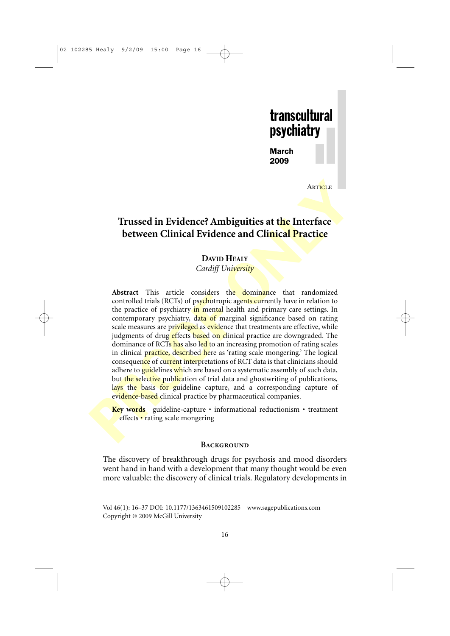02 102285 Healy 9/2/09 15:00 Page 16



# **Trussed in Evidence? Ambiguities at the Interface between Clinical Evidence and Clinical Practice**

# **DAVID HEALY**

*Cardiff University*

ARTICLE<br> **EXECUTE:**<br> **EXECUTE:**<br> **EXECUTE:**<br> **EXECUTE:**<br> **EXECUTE:**<br> **EXECUTE:**<br> **EXECUTE:**<br> **EXECUTE:**<br> **EXECUTE:**<br> **EXECUTE:**<br> **EXECUTE:**<br> **EXECUTE:**<br> **EXECUTE:**<br> **EXECUTE:**<br> **EXECUTE:**<br> **EXECUTE:**<br> **EXECUTE:**<br> **EXECUTE:** Abstract This article considers the dominance that randomized controlled trials (RCTs) of psychotropic agents currently have in relation to the practice of psychiatry in mental health and primary care settings. In contemporary psychiatry, data of marginal significance based on rating scale measures are privileged as evidence that treatments are effective, while judgments of drug effects based on clinical practice are downgraded. The dominance of RCTs has also led to an increasing promotion of rating scales in clinical practice, described here as 'rating scale mongering.' The logical consequence of current interpretations of RCT data is that clinicians should adhere to guidelines which are based on a systematic assembly of such data, but the selective publication of trial data and ghostwriting of publications, lays the basis for guideline capture, and a corresponding capture of evidence-based clinical practice by pharmaceutical companies.

**Key words** guideline-capture • informational reductionism • treatment effects • rating scale mongering

#### **BACKGROUND**

The discovery of breakthrough drugs for psychosis and mood disorders went hand in hand with a development that many thought would be even more valuable: the discovery of clinical trials. Regulatory developments in

Vol 46(1): 16–37 DOI: 10.1177/1363461509102285 www.sagepublications.com Copyright © 2009 McGill University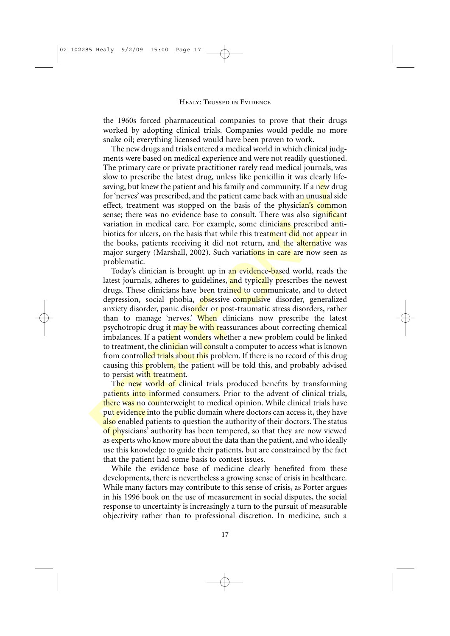the 1960s forced pharmaceutical companies to prove that their drugs worked by adopting clinical trials. Companies would peddle no more snake oil; everything licensed would have been proven to work.

The new drugs and trials entered a medical world in which clinical judgments were based on medical experience and were not readily questioned. The primary care or private practitioner rarely read medical journals, was slow to prescribe the latest drug, unless like penicillin it was clearly lifesaving, but knew the patient and his family and community. If a new drug for 'nerves' was prescribed, and the patient came back with an unusual side effect, treatment was stopped on the basis of the physician's common sense; there was no evidence base to consult. There was also significant variation in medical care. For example, some clinicians prescribed antibiotics for ulcers, on the basis that while this treatment did not appear in the books, patients receiving it did not return, and the alternative was major surgery (Marshall, 2002). Such variations in care are now seen as problematic.

solvo the passine the mass that would be half the mass that we can all the passine saving, but knew the patient and his family and community. If a new drug<br>for 'nerves' was prescribed, and the patient came back with an unu Today's clinician is brought up in an evidence-based world, reads the latest journals, adheres to guidelines, and typically prescribes the newest drugs. These clinicians have been trained to communicate, and to detect depression, social phobia, obsessive-compulsive disorder, generalized anxiety disorder, panic disorder or post-traumatic stress disorders, rather than to manage 'nerves.' When clinicians now prescribe the latest psychotropic drug it may be with reassurances about correcting chemical imbalances. If a patient wonders whether a new problem could be linked to treatment, the clinician will consult a computer to access what is known from controlled trials about this problem. If there is no record of this drug causing this **problem, the patient will be told this, and probably advised** to persist with treatment.

The new world of clinical trials produced benefits by transforming patients into informed consumers. Prior to the advent of clinical trials, there was no counterweight to medical opinion. While clinical trials have put evidence into the public domain where doctors can access it, they have also enabled patients to question the authority of their doctors. The status of physicians' authority has been tempered, so that they are now viewed as experts who know more about the data than the patient, and who ideally use this knowledge to guide their patients, but are constrained by the fact that the patient had some basis to contest issues.

While the evidence base of medicine clearly benefited from these developments, there is nevertheless a growing sense of crisis in healthcare. While many factors may contribute to this sense of crisis, as Porter argues in his 1996 book on the use of measurement in social disputes, the social response to uncertainty is increasingly a turn to the pursuit of measurable objectivity rather than to professional discretion. In medicine, such a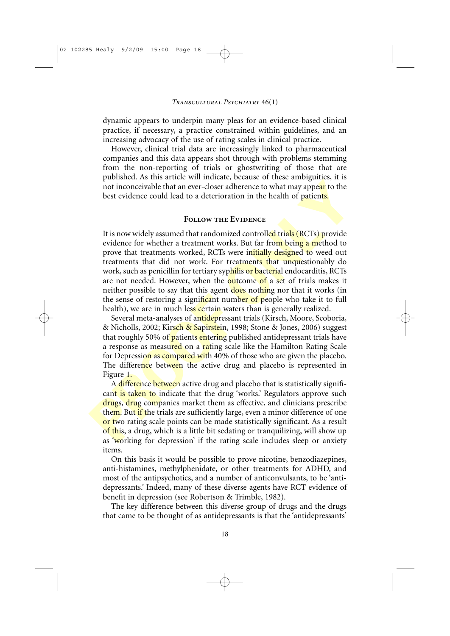dynamic appears to underpin many pleas for an evidence-based clinical practice, if necessary, a practice constrained within guidelines, and an increasing advocacy of the use of rating scales in clinical practice.

However, clinical trial data are increasingly linked to pharmaceutical companies and this data appears shot through with problems stemming from the non-reporting of trials or ghostwriting of those that are published. As this article will indicate, because of these ambiguities, it is not inconceivable that an ever-closer adherence to what may appear to the best evidence could lead to a deterioration in the health of patients.

### **Follow the Evidence**

published: The surface will number of people who finds and the stational of the best evidence could lead to a deterioration in the health of patients.<br>
Follow THE EVIDENCE<br>
Follow THE EVIDENCE<br>
Follow THE EVIDENCE<br>
FOLLOW It is now widely assumed that randomized controlled trials (RCTs) provide evidence for whether a treatment works. But far from being a method to prove that treatments worked, RCTs were initially designed to weed out treatments that did not work. For treatments that unquestionably do work, such as penicillin for tertiary syphilis or bacterial endocarditis, RCTs are not needed. However, when the **outcome of** a set of trials makes it neither possible to say that this agent does nothing nor that it works (in the sense of restoring a significant number of people who take it to full health), we are in much less certain waters than is generally realized.

Several meta-analyses of antidepressant trials (Kirsch, Moore, Scoboria, & Nicholls, 2002; Kirsch & Sapirstein, 1998; Stone & Jones, 2006) suggest that roughly 50% of patients entering published antidepressant trials have a response as measured on a rating scale like the Hamilton Rating Scale for Depression as compared with 40% of those who are given the placebo. The difference between the active drug and placebo is represented in Figure 1.

A difference between active drug and placebo that is statistically significant is taken to indicate that the drug 'works.' Regulators approve such drugs, drug companies market them as effective, and clinicians prescribe them. But if the trials are sufficiently large, even a minor difference of one or two rating scale points can be made statistically significant. As a result of this, a drug, which is a little bit sedating or tranquilizing, will show up as 'working for depression' if the rating scale includes sleep or anxiety items.

On this basis it would be possible to prove nicotine, benzodiazepines, anti-histamines, methylphenidate, or other treatments for ADHD, and most of the antipsychotics, and a number of anticonvulsants, to be 'antidepressants.' Indeed, many of these diverse agents have RCT evidence of benefit in depression (see Robertson & Trimble, 1982).

The key difference between this diverse group of drugs and the drugs that came to be thought of as antidepressants is that the 'antidepressants'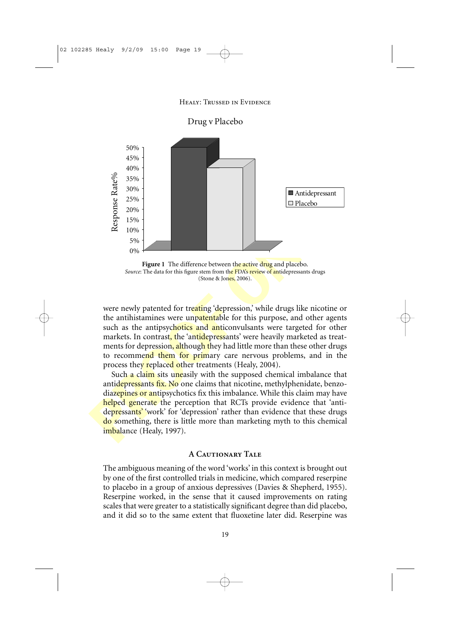

**Figure 1** The difference between the **active** drug and placebo. *Source*: The data for this figure stem from the FDA's review of antidepressants drugs (Stone & Jones, 2006).

the antihistamines were unpatentable for this purpose, and other agents such as the antipsychotics and anticonvulsants were targeted for other markets. In contrast, the 'antidepressants' were heavily marketed as treatments for depression, although they had little more than these other drugs to recommend them for primary care nervous problems, and in the process they replaced other treatments (Healy, 2004).

Such a claim sits uneasily with the supposed chemical imbalance that antidepressants fix. No one claims that nicotine, methylphenidate, benzodiazepines or antipsychotics fix this imbalance. While this claim may have helped generate the perception that RCTs provide evidence that 'antidepressants' work' for 'depression' rather than evidence that these drugs do something, there is little more than marketing myth to this chemical imbalance (Healy, 1997).

# **A Cautionary Tale**

The ambiguous meaning of the word 'works' in this context is brought out by one of the first controlled trials in medicine, which compared reserpine to placebo in a group of anxious depressives (Davies & Shepherd, 1955). Reserpine worked, in the sense that it caused improvements on rating scales that were greater to a statistically significant degree than did placebo, and it did so to the same extent that fluoxetine later did. Reserpine was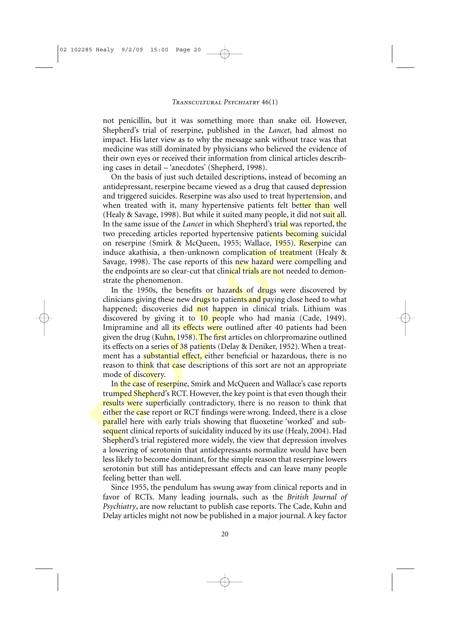not penicillin, but it was something more than snake oil. However, Shepherd's trial of reserpine, published in the *Lancet*, had almost no impact. His later view as to why the message sank without trace was that medicine was still dominated by physicians who believed the evidence of their own eyes or received their information from clinical articles describing cases in detail – 'anecdotes' (Shepherd, 1998).

The basas of jast stant tutative user-principality and the descriptions, instead of containing and triggered suicides. Reserpine was also used to treat hypertension, and when treated with it, many hypertensive patients fel On the basis of just such detailed descriptions, instead of becoming an antidepressant, reserpine became viewed as a drug that caused depression and triggered suicides. Reserpine was also used to treat hypertension, and when treated with it, many hypertensive patients felt better than well (Healy & Savage, 1998). But while it suited many people, it did not suit all. In the same issue of the *Lancet* in which Shepherd's trial was reported, the two preceding articles reported hypertensive patients becoming suicidal on reserpine (Smirk & McQueen, 1955; Wallace, 1955). Reserpine can induce akathisia, a then-unknown complication of treatment (Healy & Savage, 1998). The case reports of this new hazard were compelling and the endpoints are so clear-cut that clinical trials are not needed to demonstrate the phenomenon.

In the 1950s, the benefits or hazards of drugs were discovered by clinicians giving these new drugs to patients and paying close heed to what happened; discoveries did not happen in clinical trials. Lithium was discovered by giving it to 10 people who had mania (Cade, 1949). Imipramine and all its effects were outlined after 40 patients had been given the drug (Kuhn, 1958). The first articles on chlorpromazine outlined its effects on a series of 38 patients (Delay & Deniker, 1952). When a treatment has a substantial effect, either beneficial or hazardous, there is no reason to think that case descriptions of this sort are not an appropriate mode of discovery.

In the case of reserpine, Smirk and McQueen and Wallace's case reports trumped Shepherd's RCT. However, the key point is that even though their results were superficially contradictory, there is no reason to think that either the case report or RCT findings were wrong. Indeed, there is a close **parallel** here with early trials showing that fluoxetine 'worked' and subsequent clinical reports of suicidality induced by its use (Healy, 2004). Had Shepherd's trial registered more widely, the view that depression involves a lowering of serotonin that antidepressants normalize would have been less likely to become dominant, for the simple reason that reserpine lowers serotonin but still has antidepressant effects and can leave many people feeling better than well.

Since 1955, the pendulum has swung away from clinical reports and in favor of RCTs. Many leading journals, such as the *British Journal of Psychiatry*, are now reluctant to publish case reports. The Cade, Kuhn and Delay articles might not now be published in a major journal. A key factor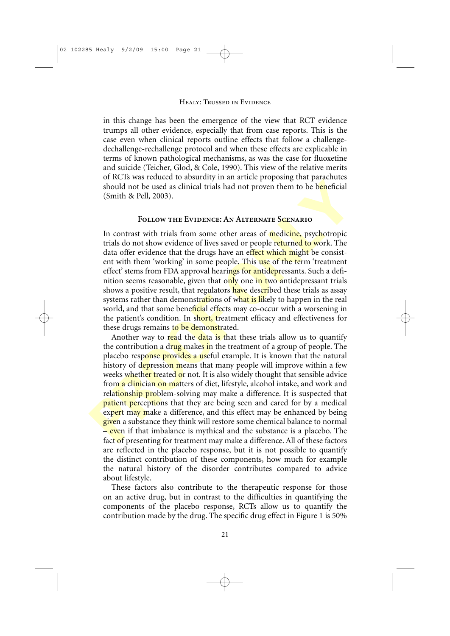in this change has been the emergence of the view that RCT evidence trumps all other evidence, especially that from case reports. This is the case even when clinical reports outline effects that follow a challengedechallenge-rechallenge protocol and when these effects are explicable in terms of known pathological mechanisms, as was the case for fluoxetine and suicide (Teicher, Glod, & Cole, 1990). This view of the relative merits of RCTs was reduced to absurdity in an article proposing that parachutes should not be used as clinical trials had not proven them to be beneficial (Smith & Pell, 2003).

## **Follow the Evidence: An Alternate Scenario**

In contrast with trials from some other areas of medicine, psychotropic trials do not show evidence of lives saved or people returned to work. The data offer evidence that the drugs have an effect which might be consistent with them 'working' in some people. This use of the term 'treatment effect' stems from FDA approval hearings for antidepressants. Such a definition seems reasonable, given that only one in two antidepressant trials shows a positive result, that regulators have described these trials as assay systems rather than demonstrations of what is likely to happen in the real world, and that some beneficial effects may co-occur with a worsening in the patient's condition. In short, treatment efficacy and effectiveness for these drugs remains to be demonstrated.

of Cass variated to assume that the translation of the translation of the translation of the tell, 2003).<br>
For thow the translation some of the rans of modeling, psychotropic trais for one the trais from some of the rans o Another way to read the data is that these trials allow us to quantify the contribution a drug makes in the treatment of a group of people. The placebo response provides a useful example. It is known that the natural history of depression means that many people will improve within a few weeks whether treated or not. It is also widely thought that sensible advice from a clinician on matters of diet, lifestyle, alcohol intake, and work and relationship problem-solving may make a difference. It is suspected that **patient perceptions** that they are being seen and cared for by a medical expert may make a difference, and this effect may be enhanced by being given a substance they think will restore some chemical balance to normal – even if that imbalance is mythical and the substance is a placebo. The fact of presenting for treatment may make a difference. All of these factors are reflected in the placebo response, but it is not possible to quantify the distinct contribution of these components, how much for example the natural history of the disorder contributes compared to advice about lifestyle.

These factors also contribute to the therapeutic response for those on an active drug, but in contrast to the difficulties in quantifying the components of the placebo response, RCTs allow us to quantify the contribution made by the drug. The specific drug effect in Figure 1 is 50%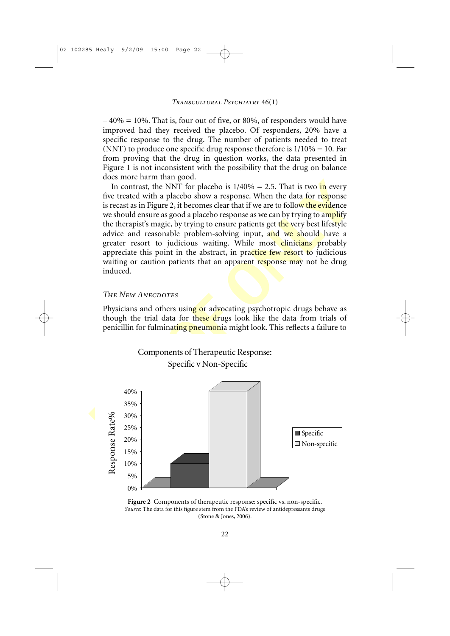$-40% = 10%$ . That is, four out of five, or 80%, of responders would have improved had they received the placebo. Of responders, 20% have a specific response to the drug. The number of patients needed to treat (NNT) to produce one specific drug response therefore is 1/10% = 10. Far from proving that the drug in question works, the data presented in Figure 1 is not inconsistent with the possibility that the drug on balance does more harm than good.

In contrast, the NNT for placebo is  $1/40\% = 2.5$ . That is two in every five treated with a placebo show a response. When the data for response is recast as in Figure 2, it becomes clear that if we are to follow the evidence we should ensure as good a placebo response as we can by trying to amplify the therapist's magic, by trying to ensure patients get the very best lifestyle advice and reasonable problem-solving input, and we should have a greater resort to judicious waiting. While most clinicians probably appreciate this point in the abstract, in practice few resort to judicious waiting or caution patients that an apparent response may not be drug induced.

# *The New Anecdotes*

Physicians and others using or advocating psychotropic drugs behave as though the trial data for these drugs look like the data from trials of penicillin for fulminating pneumonia might look. This reflects a failure to



Figure 2 Components of therapeutic response: specific vs. non-specific. *Source*: The data for this figure stem from the FDA's review of antidepressants drugs (Stone & Jones, 2006).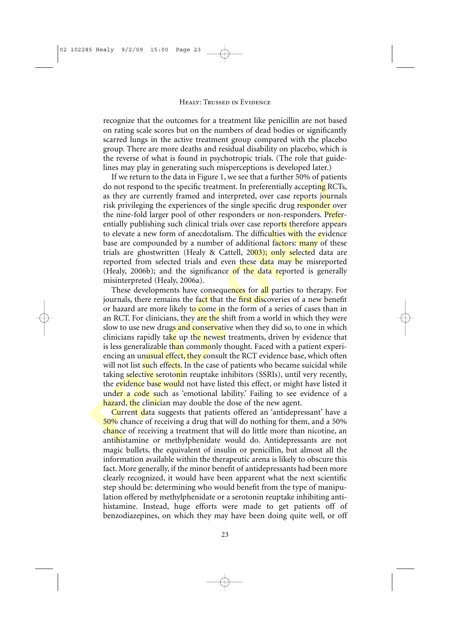recognize that the outcomes for a treatment like penicillin are not based on rating scale scores but on the numbers of dead bodies or significantly scarred lungs in the active treatment group compared with the placebo group. There are more deaths and residual disability on placebo, which is the reverse of what is found in psychotropic trials. (The role that guidelines may play in generating such misperceptions is developed later.)

If we return to the data in Figure 1, we see that a further 50% of patients do not respond to the specific treatment. In preferentially accepting RCTs, as they are currently framed and interpreted, over case reports journals risk privileging the experiences of the single specific drug responder over the nine-fold larger pool of other responders or non-responders. Preferentially publishing such clinical trials over case reports therefore appears to elevate a new form of anecdotalism. The difficulties with the evidence base are compounded by a number of additional factors: many of these trials are ghostwritten (Healy & Cattell, 2003); only selected data are reported from selected trials and even these data may be misreported (Healy, 2006b); and the significance of the data reported is generally misinterpreted (Healy, 2006a).

In we cream to to use an in rigue 1; we see that a ratural of solo plancars<br>the principal contrespond to the specific treatment. In preferentially accepting RCTs,<br>risk privileging the expression of the single specific drug These developments have consequences for all parties to therapy. For journals, there remains the fact that the first discoveries of a new benefit or hazard are more likely to come in the form of a series of cases than in an RCT. For clinicians, they are the shift from a world in which they were slow to use new drugs and conservative when they did so, to one in which clinicians rapidly take up the newest treatments, driven by evidence that is less generalizable than commonly thought. Faced with a patient experiencing an unusual effect, they consult the RCT evidence base, which often will not list such effects. In the case of patients who became suicidal while taking selective serotonin reuptake inhibitors (SSRIs), until very recently, the evidence base would not have listed this effect, or might have listed it under a code such as 'emotional lability'. Failing to see evidence of a hazard, the clinician may double the dose of the new agent.

Current data suggests that patients offered an 'antidepressant' have a 50% chance of receiving a drug that will do nothing for them, and a 50% chance of receiving a treatment that will do little more than nicotine, an antihistamine or methylphenidate would do. Antidepressants are not magic bullets, the equivalent of insulin or penicillin, but almost all the information available within the therapeutic arena is likely to obscure this fact. More generally, if the minor benefit of antidepressants had been more clearly recognized, it would have been apparent what the next scientific step should be: determining who would benefit from the type of manipulation offered by methylphenidate or a serotonin reuptake inhibiting antihistamine. Instead, huge efforts were made to get patients off of benzodiazepines, on which they may have been doing quite well, or off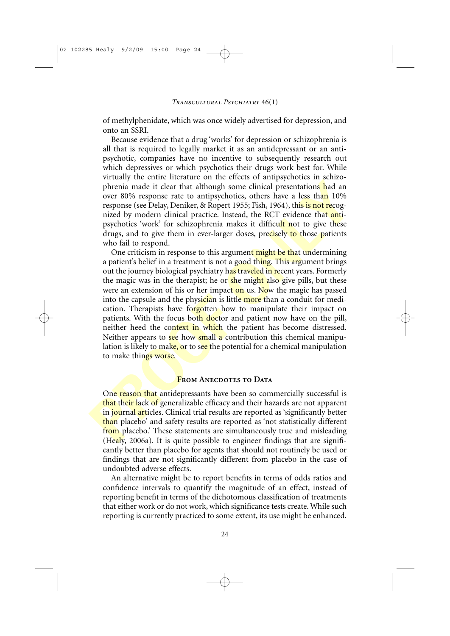of methylphenidate, which was once widely advertised for depression, and onto an SSRI.

Because evidence that a drug 'works' for depression or schizophrenia is all that is required to legally market it as an antidepressant or an antipsychotic, companies have no incentive to subsequently research out which depressives or which psychotics their drugs work best for. While virtually the entire literature on the effects of antipsychotics in schizophrenia made it clear that although some clinical presentations had an over 80% response rate to antipsychotics, others have a less than 10% response (see Delay, Deniker, & Ropert 1955; Fish, 1964), this is not recognized by modern clinical practice. Instead, the RCT evidence that antipsychotics 'work' for schizophrenia makes it difficult not to give these drugs, and to give them in ever-larger doses, precisely to those patients who fail to respond.

Franchi metric increase of any conservations is since the presentation and over 80% response rate to antipsychotics, others have a less than 10% response (see Delay, Denisker, & Roper 1955; Eish, 1964), this **is not conse** One criticism in response to this argument might be that undermining a patient's belief in a treatment is not a good thing. This argument brings out the journey biological psychiatry has traveled in recent years. Formerly the magic was in the therapist; he or she might also give pills, but these were an extension of his or her impact on us. Now the magic has passed into the capsule and the physician is little more than a conduit for medication. Therapists have forgotten how to manipulate their impact on patients. With the focus both doctor and patient now have on the pill, neither heed the context in which the patient has become distressed. Neither appears to see how small a contribution this chemical manipulation is likely to make, or to see the potential for a chemical manipulation to make things worse.

# **FROM ANECDOTES TO DATA**

One reason that antidepressants have been so commercially successful is that their lack of generalizable efficacy and their hazards are not apparent in journal articles. Clinical trial results are reported as 'significantly better than placebo' and safety results are reported as 'not statistically different from placebo.' These statements are simultaneously true and misleading (Healy, 2006a). It is quite possible to engineer findings that are significantly better than placebo for agents that should not routinely be used or findings that are not significantly different from placebo in the case of undoubted adverse effects.

An alternative might be to report benefits in terms of odds ratios and confidence intervals to quantify the magnitude of an effect, instead of reporting benefit in terms of the dichotomous classification of treatments that either work or do not work, which significance tests create. While such reporting is currently practiced to some extent, its use might be enhanced.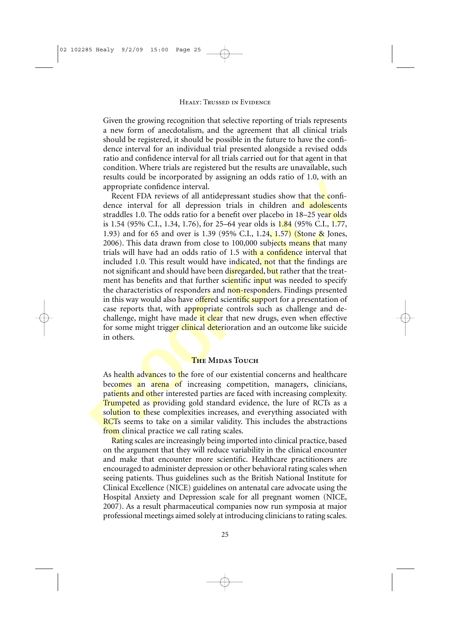Given the growing recognition that selective reporting of trials represents a new form of anecdotalism, and the agreement that all clinical trials should be registered, it should be possible in the future to have the confidence interval for an individual trial presented alongside a revised odds ratio and confidence interval for all trials carried out for that agent in that condition. Where trials are registered but the results are unavailable, such results could be incorporated by assigning an odds ratio of 1.0, with an appropriate confidence interval.

Framewold also have offered scientific support of a present of the science interval.<br>
appropriate confidence interval.<br>
Recent FDA reviews of all antidepressant studies show that the confidence<br>
drene interval for all depr Recent FDA reviews of all antidepressant studies show that the confidence interval for all depression trials in children and adolescents straddles 1.0. The odds ratio for a benefit over placebo in 18–25 year olds is 1.54 (95% C.I., 1.34, 1.76), for 25–64 year olds is 1.84 (95% C.I., 1.77, 1.93) and for 65 and over is 1.39 (95% C.I., 1.24, 1.57) (Stone & Jones, 2006). This data drawn from close to 100,000 subjects means that many trials will have had an odds ratio of 1.5 with a confidence interval that included 1.0. This result would have indicated, not that the findings are not significant and should have been disregarded, but rather that the treatment has benefits and that further scientific input was needed to specify the characteristics of responders and non-responders. Findings presented in this way would also have offered scientific support for a presentation of case reports that, with appropriate controls such as challenge and dechallenge, might have made it clear that new drugs, even when effective for some might trigger clinical deterioration and an outcome like suicide in others.

# **The Midas Touch**

As health advances to the fore of our existential concerns and healthcare becomes an arena of increasing competition, managers, clinicians, patients and other interested parties are faced with increasing complexity. **Trumpeted** as providing gold standard evidence, the lure of RCTs as a solution to these complexities increases, and everything associated with **RCT**s seems to take on a similar validity. This includes the abstractions from clinical practice we call rating scales.

Rating scales are increasingly being imported into clinical practice, based on the argument that they will reduce variability in the clinical encounter and make that encounter more scientific. Healthcare practitioners are encouraged to administer depression or other behavioral rating scales when seeing patients. Thus guidelines such as the British National Institute for Clinical Excellence (NICE) guidelines on antenatal care advocate using the Hospital Anxiety and Depression scale for all pregnant women (NICE, 2007). As a result pharmaceutical companies now run symposia at major professional meetings aimed solely at introducing clinicians to rating scales.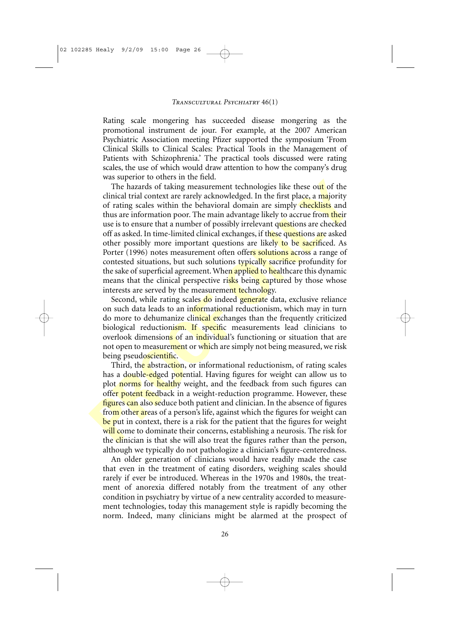Rating scale mongering has succeeded disease mongering as the promotional instrument de jour. For example, at the 2007 American Psychiatric Association meeting Pfizer supported the symposium 'From Clinical Skills to Clinical Scales: Practical Tools in the Management of Patients with Schizophrenia.' The practical tools discussed were rating scales, the use of which would draw attention to how the company's drug was superior to others in the field.

was such that contain an encut.<br>The hazards of taking measurement technologies like these out of the<br>dinical trial context are rarely acknowledged. In the first place, a majority<br>of rating scales within the behavioral doma The hazards of taking measurement technologies like these out of the clinical trial context are rarely acknowledged. In the first place, a majority of rating scales within the behavioral domain are simply checklists and thus are information poor. The main advantage likely to accrue from their use is to ensure that a number of possibly irrelevant questions are checked off as asked. In time-limited clinical exchanges, if these questions are asked other possibly more important questions are likely to be sacrificed. As Porter (1996) notes measurement often offers solutions across a range of contested situations, but such solutions typically sacrifice profundity for the sake of superficial agreement. When applied to healthcare this dynamic means that the clinical perspective risks being captured by those whose interests are served by the measurement technology.

Second, while rating scales do indeed generate data, exclusive reliance on such data leads to an informational reductionism, which may in turn do more to dehumanize clinical exchanges than the frequently criticized biological reductionism. If specific measurements lead clinicians to overlook dimensions of an *individual*'s functioning or situation that are not open to measurement or which are simply not being measured, we risk being pseudoscientific.

Third, the abstraction, or informational reductionism, of rating scales has a double-edged potential. Having figures for weight can allow us to plot norms for healthy weight, and the feedback from such figures can offer potent feedback in a weight-reduction programme. However, these figures can also seduce both patient and clinician. In the absence of figures from other areas of a person's life, against which the figures for weight can be put in context, there is a risk for the patient that the figures for weight will come to dominate their concerns, establishing a neurosis. The risk for the clinician is that she will also treat the figures rather than the person, although we typically do not pathologize a clinician's figure-centeredness.

An older generation of clinicians would have readily made the case that even in the treatment of eating disorders, weighing scales should rarely if ever be introduced. Whereas in the 1970s and 1980s, the treatment of anorexia differed notably from the treatment of any other condition in psychiatry by virtue of a new centrality accorded to measurement technologies, today this management style is rapidly becoming the norm. Indeed, many clinicians might be alarmed at the prospect of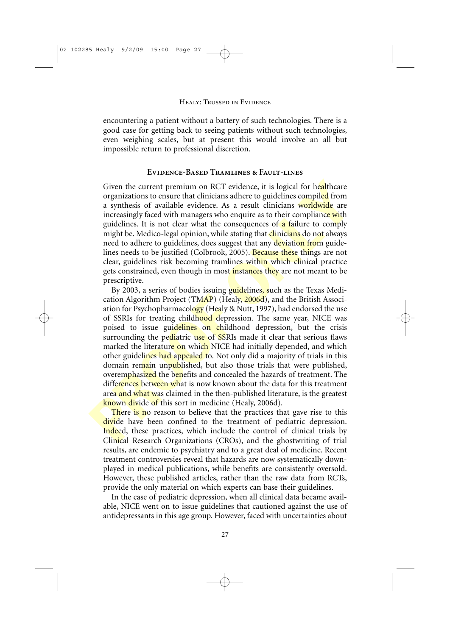encountering a patient without a battery of such technologies. There is a good case for getting back to seeing patients without such technologies, even weighing scales, but at present this would involve an all but impossible return to professional discretion.

# **Evidence-Based Tramlines & Fault-lines**

Given the current premium on RCT evidence, it is logical for healthcare organizations to ensure that clinicians adhere to guidelines compiled from a synthesis of available evidence. As a result clinicians worldwide are increasingly faced with managers who enquire as to their compliance with guidelines. It is not clear what the consequences of **a failure to comply** might be. Medico-legal opinion, while stating that *clinicians* do not always need to adhere to guidelines, does suggest that any deviation from guidelines needs to be justified (Colbrook, 2005). Because these things are not clear, guidelines risk becoming tramlines within which clinical practice gets constrained, even though in most *instances* they are not meant to be prescriptive.

Given the current premium on RCT evidence, it is logical for healthcare<br>organizations to ensure that dimicians adhere to guidelines compiled from<br>a synthesis of wailable evidence. As a result clinicians wollowide<br>a re-<br>in By 2003, a series of bodies issuing guidelines, such as the Texas Medication Algorithm Project (TMAP) (Healy,  $2006d$ ), and the British Association for Psychopharmacology (Healy & Nutt, 1997), had endorsed the use of SSRIs for treating childhood depression. The same year, NICE was poised to issue guidelines on childhood depression, but the crisis surrounding the pediatric use of SSRIs made it clear that serious flaws marked the literature on which NICE had initially depended, and which other guidelines had appealed to. Not only did a majority of trials in this domain remain unpublished, but also those trials that were published, overemphasized the benefits and concealed the hazards of treatment. The differences between what is now known about the data for this treatment area and what was claimed in the then-published literature, is the greatest known divide of this sort in medicine (Healy, 2006d).

There is no reason to believe that the practices that gave rise to this divide have been confined to the treatment of pediatric depression. Indeed, these practices, which include the control of clinical trials by Clinical Research Organizations (CROs), and the ghostwriting of trial results, are endemic to psychiatry and to a great deal of medicine. Recent treatment controversies reveal that hazards are now systematically downplayed in medical publications, while benefits are consistently oversold. However, these published articles, rather than the raw data from RCTs, provide the only material on which experts can base their guidelines.

In the case of pediatric depression, when all clinical data became available, NICE went on to issue guidelines that cautioned against the use of antidepressants in this age group. However, faced with uncertainties about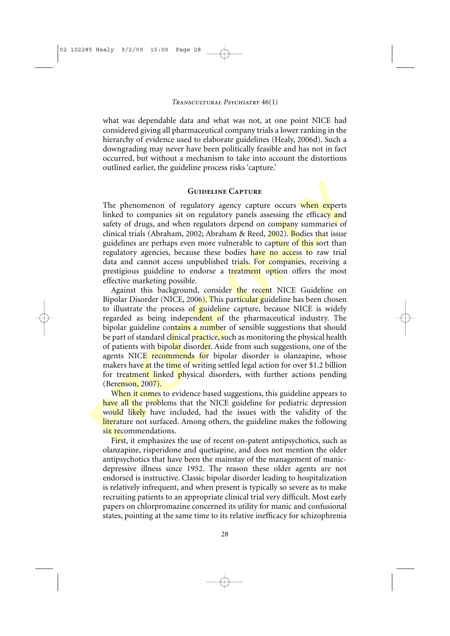what was dependable data and what was not, at one point NICE had considered giving all pharmaceutical company trials a lower ranking in the hierarchy of evidence used to elaborate guidelines (Healy, 2006d). Such a downgrading may never have been politically feasible and has not in fact occurred, but without a mechanism to take into account the distortions outlined earlier, the guideline process risks 'capture.'

## **Guideline Capture**

The phenomenon of regulatory agency capture occurs when experts linked to companies sit on regulatory panels assessing the efficacy and safety of drugs, and when regulators depend on company summaries of clinical trials (Abraham, 2002; Abraham & Reed, 2002). Bodies that issue guidelines are perhaps even more vulnerable to capture of this sort than regulatory agencies, because these bodies have no access to raw trial data and cannot access unpublished trials. For companies, receiving a prestigious guideline to endorse a treatment option offers the most effective marketing possible.

**GUIDELINE CAPTURE**<br>
The phenomenon of regulatory agency capture occurs when experts<br>
linked to companies sit on regulatory panels assessing the efficacy and<br>
safety of drugs, and when regulators depend on company summarie Against this background, consider the recent NICE Guideline on Bipolar Disorder (NICE, 2006). This particular guideline has been chosen to illustrate the process of guideline capture, because NICE is widely regarded as being independent of the pharmaceutical industry. The bipolar guideline contains a number of sensible suggestions that should be part of standard clinical practice, such as monitoring the physical health of patients with bipolar disorder. Aside from such suggestions, one of the agents NICE recommends for bipolar disorder is olanzapine, whose makers have at the time of writing settled legal action for over \$1.2 billion for treatment linked physical disorders, with further actions pending (Berenson, 2007).

When it comes to evidence based suggestions, this guideline appears to have all the problems that the NICE guideline for pediatric depression would likely have included, had the issues with the validity of the **literature not surfaced.** Among others, the guideline makes the following six recommendations.

First, it emphasizes the use of recent on-patent antipsychotics, such as olanzapine, risperidone and quetiapine, and does not mention the older antipsychotics that have been the mainstay of the management of manicdepressive illness since 1952. The reason these older agents are not endorsed is instructive. Classic bipolar disorder leading to hospitalization is relatively infrequent, and when present is typically so severe as to make recruiting patients to an appropriate clinical trial very difficult. Most early papers on chlorpromazine concerned its utility for manic and confusional states, pointing at the same time to its relative inefficacy for schizophrenia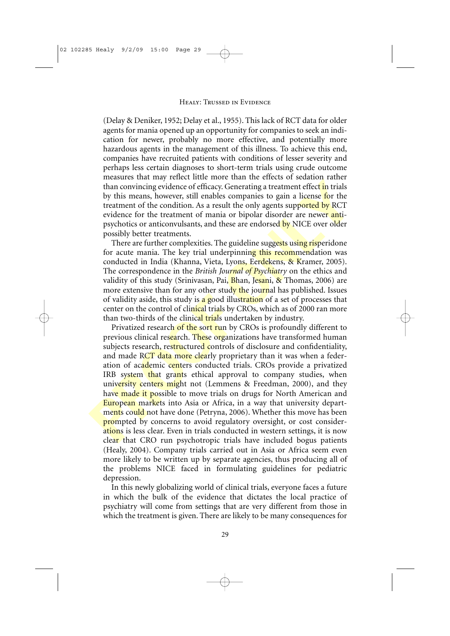(Delay & Deniker, 1952; Delay et al., 1955). This lack of RCT data for older agents for mania opened up an opportunity for companies to seek an indication for newer, probably no more effective, and potentially more hazardous agents in the management of this illness. To achieve this end, companies have recruited patients with conditions of lesser severity and perhaps less certain diagnoses to short-term trials using crude outcome measures that may reflect little more than the effects of sedation rather than convincing evidence of efficacy. Generating a treatment effect in trials by this means, however, still enables companies to gain a license for the treatment of the condition. As a result the only agents supported by RCT evidence for the treatment of mania or bipolar disorder are newer antipsychotics or anticonvulsants, and these are endorsed by NICE over older possibly better treatments.

There are further complexities. The guideline suggests using risperidone for acute mania. The key trial underpinning this recommendation was conducted in India (Khanna, Vieta, Lyons, Eerdekens, & Kramer, 2005). The correspondence in the *British Journal of Psychiatry* on the ethics and validity of this study (Srinivasan, Pai, Bhan, Jesani, & Thomas, 2006) are more extensive than for any other study the journal has published. Issues of validity aside, this study is a good illustration of a set of processes that center on the control of clinical trials by CROs, which as of 2000 ran more than two-thirds of the clinical trials undertaken by industry.

Inseases that may ricite mathemola than convincing evidence of effice, Generating at teatment effect in trials<br>by this means, however, still enables companies to gain a license for the<br>treatment of the condition. As a resu Privatized research of the sort run by CROs is profoundly different to previous clinical research. These organizations have transformed human subjects research, restructured controls of disclosure and confidentiality, and made RCT data more clearly proprietary than it was when a federation of academic centers conducted trials. CROs provide a privatized IRB system that grants ethical approval to company studies, when university centers might not (Lemmens & Freedman, 2000), and they have made it possible to move trials on drugs for North American and **European markets** into Asia or Africa, in a way that university departments could not have done (Petryna, 2006). Whether this move has been prompted by concerns to avoid regulatory oversight, or cost considerations is less clear. Even in trials conducted in western settings, it is now clear that CRO run psychotropic trials have included bogus patients (Healy, 2004). Company trials carried out in Asia or Africa seem even more likely to be written up by separate agencies, thus producing all of the problems NICE faced in formulating guidelines for pediatric depression.

In this newly globalizing world of clinical trials, everyone faces a future in which the bulk of the evidence that dictates the local practice of psychiatry will come from settings that are very different from those in which the treatment is given. There are likely to be many consequences for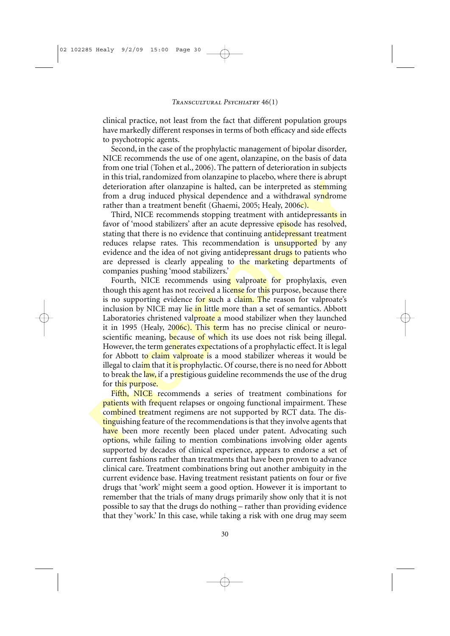clinical practice, not least from the fact that different population groups have markedly different responses in terms of both efficacy and side effects to psychotropic agents.

Second, in the case of the prophylactic management of bipolar disorder, NICE recommends the use of one agent, olanzapine, on the basis of data from one trial (Tohen et al., 2006). The pattern of deterioration in subjects in this trial, randomized from olanzapine to placebo, where there is abrupt deterioration after olanzapine is halted, can be interpreted as stemming from a drug induced physical dependence and a withdrawal syndrome rather than a treatment benefit (Ghaemi, 2005; Healy, 2006c).

Third, NICE recommends stopping treatment with antidepressants in favor of 'mood stabilizers' after an acute depressive episode has resolved, stating that there is no evidence that continuing antidepressant treatment reduces relapse rates. This recommendation is **unsupported** by any evidence and the idea of not giving antidepressant drugs to patients who are depressed is clearly appealing to the marketing departments of companies pushing 'mood stabilizers.'

In usis transported by material proton of matter and territoral in the deterioration after clanzapine is halted, can be interpreted as stemming<br>from a drug induced physical dependence and a withdrawal syndrome<br>rather than Fourth, NICE recommends using valproate for prophylaxis, even though this agent has not received a license for this purpose, because there is no supporting evidence for such a claim. The reason for valproate's inclusion by NICE may lie in little more than a set of semantics. Abbott Laboratories christened valproate a mood stabilizer when they launched it in 1995 (Healy,  $2006c$ ). This term has no precise clinical or neuroscientific meaning, because of which its use does not risk being illegal. However, the term generates expectations of a prophylactic effect. It is legal for Abbott to claim valproate is a mood stabilizer whereas it would be illegal to claim that it is prophylactic. Of course, there is no need for Abbott to break the law, if a prestigious guideline recommends the use of the drug for this purpose.

Fifth, NICE recommends a series of treatment combinations for **patients with frequent relapses or ongoing functional impairment.** These combined treatment regimens are not supported by RCT data. The dis**tinguishing feature of the recommendations is that they involve agents that** have been more recently been placed under patent. Advocating such options, while failing to mention combinations involving older agents supported by decades of clinical experience, appears to endorse a set of current fashions rather than treatments that have been proven to advance clinical care. Treatment combinations bring out another ambiguity in the current evidence base. Having treatment resistant patients on four or five drugs that 'work' might seem a good option. However it is important to remember that the trials of many drugs primarily show only that it is not possible to say that the drugs do nothing – rather than providing evidence that they 'work.' In this case, while taking a risk with one drug may seem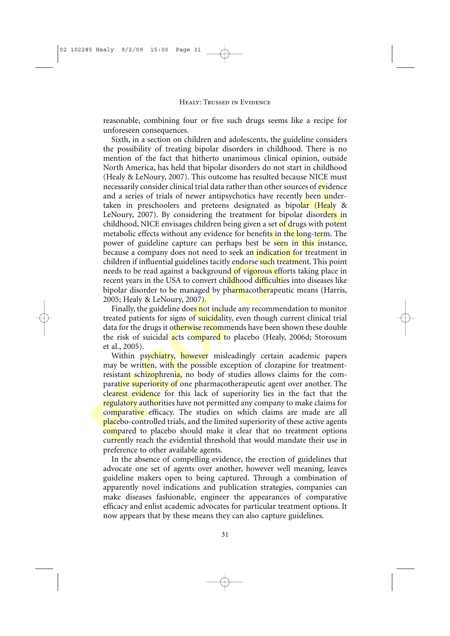reasonable, combining four or five such drugs seems like a recipe for unforeseen consequences.

Transformation considers and predictional and set and to the matter than the sume are encerated by consider clinical trial data rather than other sources of evidence and a series of trials of newer antipsychotics have rece Sixth, in a section on children and adolescents, the guideline considers the possibility of treating bipolar disorders in childhood. There is no mention of the fact that hitherto unanimous clinical opinion, outside North America, has held that bipolar disorders do not start in childhood (Healy & LeNoury, 2007). This outcome has resulted because NICE must necessarily consider clinical trial data rather than other sources of evidence and a series of trials of newer antipsychotics have recently been undertaken in preschoolers and preteens designated as bipolar (Healy & LeNoury, 2007). By considering the treatment for bipolar disorders in childhood, NICE envisages children being given a set of drugs with potent metabolic effects without any evidence for benefits in the long-term. The power of guideline capture can perhaps best be seen in this instance, because a company does not need to seek an indication for treatment in children if influential guidelines tacitly endorse such treatment. This point needs to be read against a background of vigorous efforts taking place in recent years in the USA to convert childhood difficulties into diseases like bipolar disorder to be managed by pharmacotherapeutic means (Harris, 2005; Healy & LeNoury, 2007).

Finally, the guideline does not include any recommendation to monitor treated patients for signs of suicidality, even though current clinical trial data for the drugs it otherwise recommends have been shown these double the risk of suicidal acts compared to placebo (Healy, 2006d; Storosum et al., 2005).

Within psychiatry, however misleadingly certain academic papers may be written, with the possible exception of clozapine for treatmentresistant schizophrenia, no body of studies allows claims for the comparative superiority of one pharmacotherapeutic agent over another. The clearest evidence for this lack of superiority lies in the fact that the regulatory authorities have not permitted any company to make claims for comparative efficacy. The studies on which claims are made are all **placebo-controlled trials, and the limited superiority of these active agents** compared to placebo should make it clear that no treatment options currently reach the evidential threshold that would mandate their use in preference to other available agents.

In the absence of compelling evidence, the erection of guidelines that advocate one set of agents over another, however well meaning, leaves guideline makers open to being captured. Through a combination of apparently novel indications and publication strategies, companies can make diseases fashionable, engineer the appearances of comparative efficacy and enlist academic advocates for particular treatment options. It now appears that by these means they can also capture guidelines.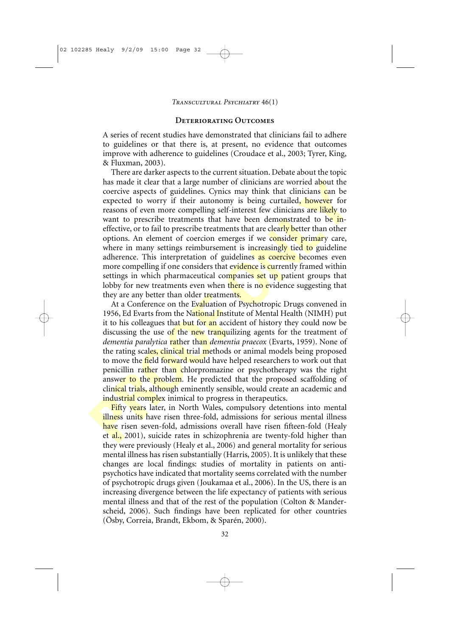#### **Deteriorating Outcomes**

A series of recent studies have demonstrated that clinicians fail to adhere to guidelines or that there is, at present, no evidence that outcomes improve with adherence to guidelines (Croudace et al., 2003; Tyrer, King, & Fluxman, 2003).

has made it clear that a large number of clinicians are worried about the coercive aspects of guidelines. Cyrins may think that clinicians can be expected to worry if their autonomy is being curtailed, however for reasons There are darker aspects to the current situation. Debate about the topic has made it clear that a large number of clinicians are worried about the coercive aspects of guidelines. Cynics may think that clinicians can be expected to worry if their autonomy is being curtailed, however for reasons of even more compelling self-interest few clinicians are likely to want to prescribe treatments that have been demonstrated to be ineffective, or to fail to prescribe treatments that are clearly better than other options. An element of coercion emerges if we consider primary care, where in many settings reimbursement is increasingly tied to guideline adherence. This interpretation of guidelines as coercive becomes even more compelling if one considers that evidence is currently framed within settings in which pharmaceutical companies set up patient groups that lobby for new treatments even when there is no evidence suggesting that they are any better than older treatments.

At a Conference on the Evaluation of Psychotropic Drugs convened in 1956, Ed Evarts from the National Institute of Mental Health (NIMH) put it to his colleagues that but for an accident of history they could now be discussing the use of the new tranquilizing agents for the treatment of *dementia paralytica* rather than *dementia praecox* (Evarts, 1959). None of the rating scales, clinical trial methods or animal models being proposed to move the **field forward would** have helped researchers to work out that penicillin rather than chlorpromazine or psychotherapy was the right answer to the problem. He predicted that the proposed scaffolding of clinical trials, although eminently sensible, would create an academic and industrial complex inimical to progress in therapeutics.

Fifty years later, in North Wales, compulsory detentions into mental illness units have risen three-fold, admissions for serious mental illness have risen seven-fold, admissions overall have risen fifteen-fold (Healy et al., 2001), suicide rates in schizophrenia are twenty-fold higher than they were previously (Healy et al., 2006) and general mortality for serious mental illness has risen substantially (Harris, 2005). It is unlikely that these changes are local findings: studies of mortality in patients on antipsychotics have indicated that mortality seems correlated with the number of psychotropic drugs given (Joukamaa et al., 2006). In the US, there is an increasing divergence between the life expectancy of patients with serious mental illness and that of the rest of the population (Colton & Manderscheid, 2006). Such findings have been replicated for other countries (Ösby, Correia, Brandt, Ekbom, & Sparén, 2000).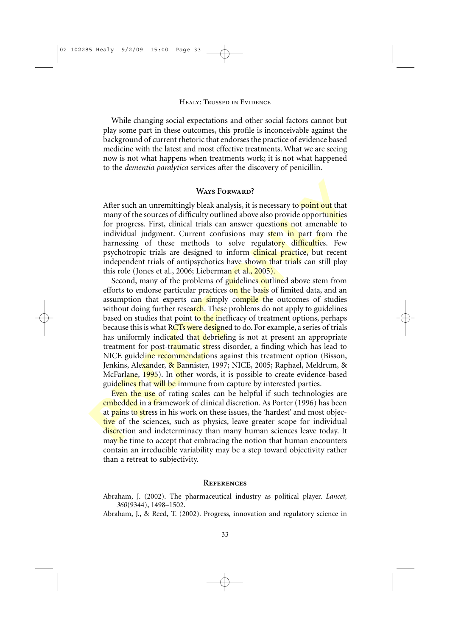While changing social expectations and other social factors cannot but play some part in these outcomes, this profile is inconceivable against the background of current rhetoric that endorses the practice of evidence based medicine with the latest and most effective treatments. What we are seeing now is not what happens when treatments work; it is not what happened to the *dementia paralytica* services after the discovery of penicillin.

# **Ways Forward?**

After such an unremittingly bleak analysis, it is necessary to point out that many of the sources of difficulty outlined above also provide opportunities for progress. First, clinical trials can answer questions not amenable to individual judgment. Current confusions may stem in part from the harnessing of these methods to solve regulatory difficulties. Few psychotropic trials are designed to inform clinical practice, but recent independent trials of antipsychotics have shown that trials can still play this role (Jones et al., 2006; Lieberman et al., 2005).

**Example 18** Wars Forwards?<br>
Mars Forwards?<br>
Mars After such an unremittingly bleak analysis, it is necessary to point out that<br>
many of the sources of difficulty outlined above also provide opportunities<br>
for progress. Fi Second, many of the problems of guidelines outlined above stem from efforts to endorse particular practices on the basis of limited data, and an assumption that experts can simply compile the outcomes of studies without doing further research. These problems do not apply to guidelines based on studies that point to the inefficacy of treatment options, perhaps because this is what RCTs were designed to do. For example, a series of trials has uniformly indicated that debriefing is not at present an appropriate treatment for post-traumatic stress disorder, a finding which has lead to NICE guideline recommendations against this treatment option (Bisson, Jenkins, Alexander, & Bannister, 1997; NICE, 2005; Raphael, Meldrum, & McFarlane, 1995). In other words, it is possible to create evidence-based guidelines that will be immune from capture by interested parties.

Even the use of rating scales can be helpful if such technologies are embedded in a framework of clinical discretion. As Porter (1996) has been at **pains to stress** in his work on these issues, the 'hardest' and most objective of the sciences, such as physics, leave greater scope for individual discretion and indeterminacy than many human sciences leave today. It may be time to accept that embracing the notion that human encounters contain an irreducible variability may be a step toward objectivity rather than a retreat to subjectivity.

# **References**

Abraham, J. (2002). The pharmaceutical industry as political player. *Lancet, 360*(9344), 1498–1502.

Abraham, J., & Reed, T. (2002). Progress, innovation and regulatory science in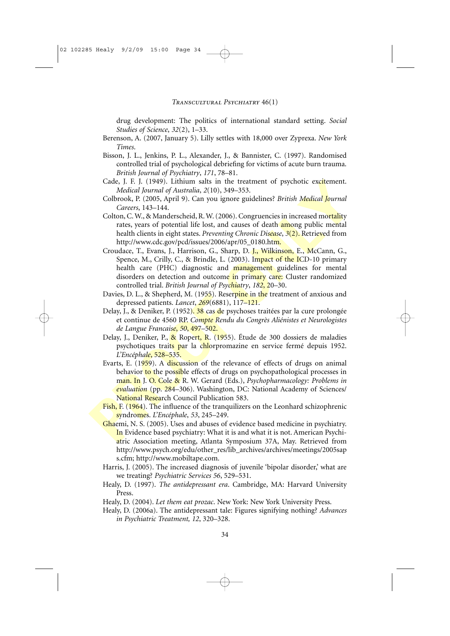drug development: The politics of international standard setting. *Social Studies of Science*, *32*(2), 1–33.

- Berenson, A. (2007, January 5). Lilly settles with 18,000 over Zyprexa. *New York Times*.
- Bisson, J. L., Jenkins, P. L., Alexander, J., & Bannister, C. (1997). Randomised controlled trial of psychological debriefing for victims of acute burn trauma. *British Journal of Psychiatry*, *171*, 78–81.
- Cade, J. F. J. (1949). Lithium salts in the treatment of psychotic excitement. *Medical Journal of Australia*, *2*(10), 349–353.
- Colbrook, P. (2005, April 9). Can you ignore guidelines? *British Medical Journal Careers*, 143–144.
- Colton, C. W., & Manderscheid, R. W. (2006). Congruencies in increased mortality rates, years of potential life lost, and causes of death **among** public mental health clients in eight states. *Preventing Chronic Disease*, *3*(2). Retrieved from http://www.cdc.gov/pcd/issues/2006/apr/05\_0180.htm.
- Cade, J. F. 1 (1949). Lithium salts in the treatment of psychotic excitement.<br>
Colbrook, P. (2005, April 9). Can you ignore guidelines? *British Medical Journal*<br>
Coltrook, P. (2005, April 9). Can you ignore guidelines? Croudace, T., Evans, J., Harrison, G., Sharp, D. J., Wilkinson, E., McCann, G., Spence, M., Crilly, C., & Brindle, L. (2003). Impact of the ICD-10 primary health care (PHC) diagnostic and **management** guidelines for mental disorders on detection and outcome in primary care: Cluster randomized controlled trial. *British Journal of Psychiatry*, *182*, 20–30.
	- Davies, D. L., & Shepherd, M. (1955). Reserpine in the treatment of anxious and depressed patients. *Lancet*, *269*(6881), 117–121.
	- Delay, J., & Deniker, P. (1952). 38 cas de psychoses traitées par la cure prolongée et continue de 4560 RP. *Compte Rendu du Congrès Aliénistes et Neurologistes de Langue Francaise*, *50*, 497–502.
	- Delay, J., Deniker, P., & Ropert, R. (1955). Étude de 300 dossiers de maladies psychotiques traits par la chlorpromazine en service fermé depuis 1952. *L'Encéphale*, 528–535.
	- Evarts, E. (1959). A discussion of the relevance of effects of drugs on animal behavior to the possible effects of drugs on psychopathological processes in man. In J. O. Cole & R. W. Gerard (Eds.), *Psychopharmacology: Problems in evaluation* (pp. 284–306). Washington, DC: National Academy of Sciences/ National Research Council Publication 583.
	- Fish, F. (1964). The influence of the tranquilizers on the Leonhard schizophrenic syndromes. *L'Encéphale*, *53*, 245–249.
	- Ghaemi, N. S. (2005). Uses and abuses of evidence based medicine in psychiatry. In Evidence based psychiatry: What it is and what it is not. American Psychiatric Association meeting, Atlanta Symposium 37A, May. Retrieved from http://www.psych.org/edu/other\_res/lib\_archives/archives/meetings/2005sap s.cfm; http://www.mobiltape.com.
	- Harris, J. (2005). The increased diagnosis of juvenile 'bipolar disorder,' what are we treating? *Psychiatric Services 56*, 529–531.
	- Healy, D. (1997). *The antidepressant era*. Cambridge, MA: Harvard University Press.
	- Healy, D. (2004). *Let them eat prozac*. New York: New York University Press.
	- Healy, D. (2006a). The antidepressant tale: Figures signifying nothing? *Advances in Psychiatric Treatment, 12*, 320–328.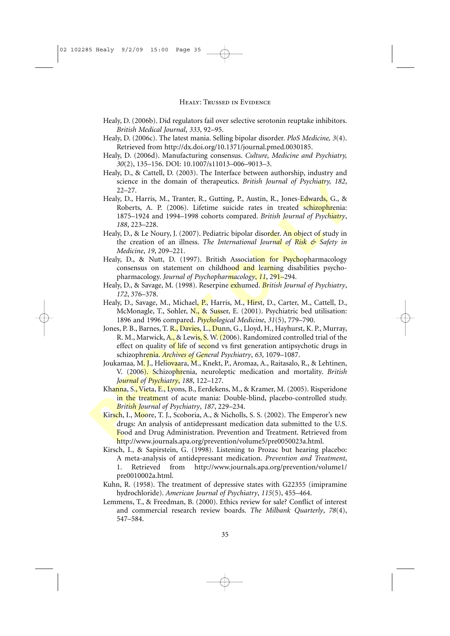02 102285 Healy 9/2/09 15:00 Page 35

#### Healy: Trussed in Evidence

- Healy, D. (2006b). Did regulators fail over selective serotonin reuptake inhibitors. *British Medical Journal*, *333*, 92–95.
- Healy, D. (2006c). The latest mania. Selling bipolar disorder. *PloS Medicine, 3*(4). Retrieved from http://dx.doi.org/10.1371/journal.pmed.0030185.
- Healy, D. (2006d). Manufacturing consensus. *Culture, Medicine and Psychiatry, 30*(2), 135–156. DOI: 10.1007/s11013–006–9013–3.
- Healy, D., & Cattell, D. (2003). The Interface between authorship, industry and science in the domain of therapeutics. *British Journal of Psychiatry, 182*, 22–27.
- Healy, D., Harris, M., Tranter, R., Gutting, P., Austin, R., Jones-Edwards, G., & Roberts, A. P. (2006). Lifetime suicide rates in treated schizophrenia: 1875–1924 and 1994–1998 cohorts compared. *British Journal of Psychiatry*, *188*, 223–228.
- Healy, D., & Le Noury, J. (2007). Pediatric bipolar disorder. An object of study in the creation of an illness. *The International Journal of Risk & Safety in Medicine*, *19*, 209–221.
- Healy, D., & Nutt, D. (1997). British Association for Psychopharmacology consensus on statement on childhood and learning disabilities psychopharmacology. *Journal of Psychopharmacology*, *11*, 291–294.
- Healy, D., & Savage, M. (1998). Reserpine exhumed. *British Journal of Psychiatry*, *172*, 376–378.
- Healy, D., Savage, M., Michael, P., Harris, M., Hirst, D., Carter, M., Cattell, D., McMonagle, T., Sohler, N., & Susser, E. (2001). Psychiatric bed utilisation: 1896 and 1996 compared. *Psychological Medicine*, *31*(5), 779–790.
- science in the domain of therapeutics. *British Journal of Psychiatry*, 182,<br>22-27.<br>Healy, D., Harris, M., Tranter, R., Gutting, P., Austin, R., Jones-Edwards, G., &<br>Roberts, A. P. (2006). Lifetime suickle rates in treate Jones, P. B., Barnes, T. R., Davies, L., Dunn, G., Lloyd, H., Hayhurst, K. P., Murray, R. M., Marwick, A., & Lewis, S. W. (2006). Randomized controlled trial of the effect on quality of life of second vs first generation antipsychotic drugs in schizophrenia. *Archives of General Psychiatry*, *63*, 1079–1087.
	- Joukamaa, M.J., Heliovaara, M., Knekt, P., Aromaa, A., Raitasalo, R., & Lehtinen, V. (2006). Schizophrenia, neuroleptic medication and mortality. *British Journal of Psychiatry*, *188*, 122–127.
	- Khanna, S., Vieta, E., Lyons, B., Eerdekens, M., & Kramer, M. (2005). Risperidone in the treatment of acute mania: Double-blind, placebo-controlled study. *British Journal of Psychiatry*, *187*, 229–234.
	- Kirsch, I., Moore, T. J., Scoboria, A., & Nicholls, S. S. (2002). The Emperor's new drugs: An analysis of antidepressant medication data submitted to the U.S. Food and Drug Administration. Prevention and Treatment. Retrieved from http://www.journals.apa.org/prevention/volume5/pre0050023a.html.
	- Kirsch, I., & Sapirstein, G. (1998). Listening to Prozac but hearing placebo: A meta-analysis of antidepressant medication. *Prevention and Treatment*, 1. Retrieved from http://www.journals.apa.org/prevention/volume1/ pre0010002a.html.
	- Kuhn, R. (1958). The treatment of depressive states with G22355 (imipramine hydrochloride). *American Journal of Psychiatry*, *115*(5), 455–464.
	- Lemmens, T., & Freedman, B. (2000). Ethics review for sale? Conflict of interest and commercial research review boards. *The Milbank Quarterly*, *78*(4), 547–584.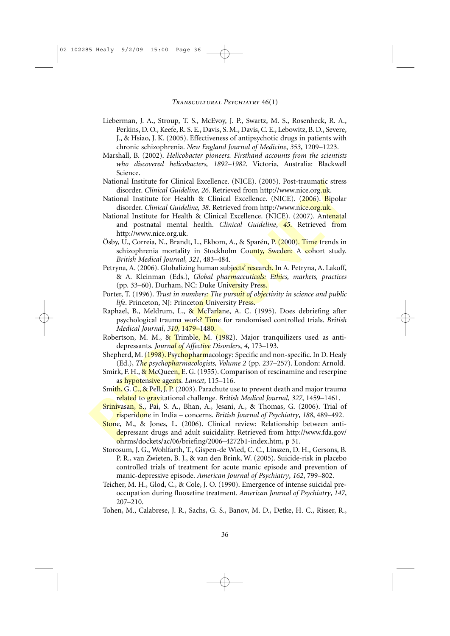Lieberman, J. A., Stroup, T. S., McEvoy, J. P., Swartz, M. S., Rosenheck, R. A., Perkins, D. O., Keefe, R. S. E., Davis, S. M., Davis, C. E., Lebowitz, B. D., Severe, J., & Hsiao, J. K. (2005). Effectiveness of antipsychotic drugs in patients with chronic schizophrenia. *New England Journal of Medicine*, *353*, 1209–1223.

- Marshall, B. (2002). *Helicobacter pioneers. Firsthand accounts from the scientists who discovered helicobacters, 1892–1982*. Victoria, Australia: Blackwell Science.
- National Institute for Clinical Excellence. (NICE). (2005). Post-traumatic stress disorder. *Clinical Guideline, 26*. Retrieved from http://www.nice.org.uk.
- National Institute for Health & Clinical Excellence. (NICE). (2006). Bipolar disorder. *Clinical Guideline, 38*. Retrieved from http://www.nice.org.uk.
- National Institute for Health & Clinical Excellence. (NICE). (2007). Antenatal and postnatal mental health. *Clinical Guideline*, *45*. Retrieved from http://www.nice.org.uk.
- National Institute for Clinical Excellence, (NICE), (2005). Post-tranumatic stress<br>
valuations Institute for Health & Clinical Excellence, (NICE), (2006), Bipolar<br>
disorder. Clinical Guideline, 38. Retrieved from http://w Ösby, U., Correia, N., Brandt, L., Ekbom, A., & Sparén, P. (2000). Time trends in schizophrenia mortality in Stockholm County, Sweden: A cohort study. *British Medical Journal, 321*, 483–484.
	- Petryna, A. (2006). Globalizing human subjects' research. In A. Petryna, A. Lakoff, & A. Kleinman (Eds.), *Global pharmaceuticals: Ethics, markets, practices* (pp. 33–60). Durham, NC: Duke University Press.
	- Porter, T. (1996). *Trust in numbers: The pursuit of objectivity in science and public life*. Princeton, NJ: Princeton University Press.
	- Raphael, B., Meldrum, L., & McFarlane, A. C. (1995). Does debriefing after psychological trauma work? Time for randomised controlled trials. *British Medical Journal*, *310*, 1479–1480.
	- Robertson, M. M., & Trimble, M. (1982). Major tranquilizers used as antidepressants. *Journal of Affective Disorders*, *4*, 173–193.
	- Shepherd, M. (1998). Psychopharmacology: Specific and non-specific. In D. Healy (Ed.), *The psychopharmacologists, Volume 2* (pp. 237–257). London: Arnold.
	- Smirk, F. H., & McQueen, E. G. (1955). Comparison of rescinamine and reserpine as hypotensive agents. *Lancet*, 115–116.

Smith, G. C., & Pell, J. P. (2003). Parachute use to prevent death and major trauma related to gravitational challenge. *British Medical Journal*, *327*, 1459–1461.

- Srinivasan, S., Pai, S. A., Bhan, A., Jesani, A., & Thomas, G. (2006). Trial of risperidone in India – concerns. *British Journal of Psychiatry*, *188*, 489–492.
- Stone, M., & Jones, L. (2006). Clinical review: Relationship between antidepressant drugs and adult suicidality. Retrieved from http://www.fda.gov/ ohrms/dockets/ac/06/briefing/2006–4272b1-index.htm, p 31.
- Storosum, J. G., Wohlfarth, T., Gispen-de Wied, C. C., Linszen, D. H., Gersons, B. P. R., van Zwieten, B. J., & van den Brink, W. (2005). Suicide-risk in placebo controlled trials of treatment for acute manic episode and prevention of manic-depressive episode. *American Journal of Psychiatry*, *162*, 799–802.
- Teicher, M. H., Glod, C., & Cole, J. O. (1990). Emergence of intense suicidal preoccupation during fluoxetine treatment. *American Journal of Psychiatry*, *147*, 207–210.
- Tohen, M., Calabrese, J. R., Sachs, G. S., Banov, M. D., Detke, H. C., Risser, R.,